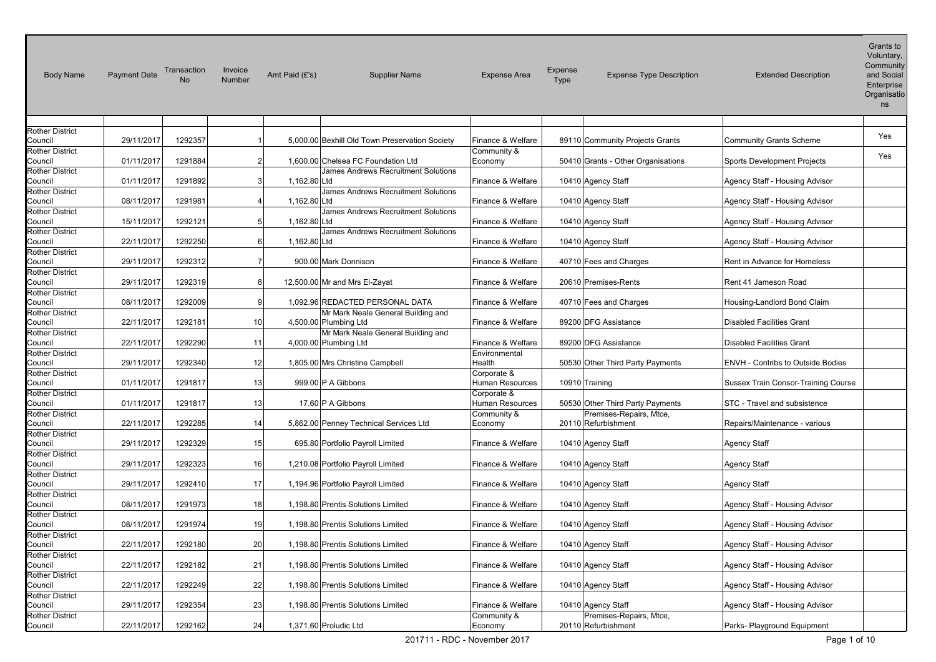| <b>Body Name</b>                  | <b>Payment Date</b> | Transaction<br>No | Invoice<br>Number | Amt Paid (£'s)        | <b>Supplier Name</b>                           | <b>Expense Area</b>            | Expense<br>Type | <b>Expense Type Description</b>                | <b>Extended Description</b>         | Grants to<br>Voluntary,<br>Community<br>and Social<br>Enterprise<br>Organisatio<br>ns |
|-----------------------------------|---------------------|-------------------|-------------------|-----------------------|------------------------------------------------|--------------------------------|-----------------|------------------------------------------------|-------------------------------------|---------------------------------------------------------------------------------------|
| <b>Rother District</b>            |                     |                   |                   |                       |                                                |                                |                 |                                                |                                     |                                                                                       |
| Council                           | 29/11/2017          | 1292357           |                   |                       | 5,000.00 Bexhill Old Town Preservation Society | Finance & Welfare              |                 | 89110 Community Projects Grants                | <b>Community Grants Scheme</b>      | Yes                                                                                   |
| Rother District<br>Council        | 01/11/2017          | 1291884           | 2                 |                       | 1.600.00 Chelsea FC Foundation Ltd             | Community &<br>Economy         |                 | 50410 Grants - Other Organisations             | Sports Development Projects         | Yes                                                                                   |
| Rother District<br>Council        | 01/11/2017          | 1291892           | 3                 | 1,162.80 Ltd          | James Andrews Recruitment Solutions            | Finance & Welfare              |                 | 10410 Agency Staff                             | Agency Staff - Housing Advisor      |                                                                                       |
| Rother District<br>Council        | 08/11/2017          | 1291981           |                   | 1,162.80 Ltd          | James Andrews Recruitment Solutions            | Finance & Welfare              |                 | 10410 Agency Staff                             | Agency Staff - Housing Advisor      |                                                                                       |
| Rother District                   | 15/11/2017          | 1292121           | 5                 | 1,162.80 Ltd          | James Andrews Recruitment Solutions            | Finance & Welfare              |                 |                                                |                                     |                                                                                       |
| Council<br><b>Rother District</b> |                     |                   |                   |                       | James Andrews Recruitment Solutions            |                                |                 | 10410 Agency Staff                             | Agency Staff - Housing Advisor      |                                                                                       |
| Council                           | 22/11/2017          | 1292250           | 6                 | 1,162.80 Ltd          |                                                | Finance & Welfare              |                 | 10410 Agency Staff                             | Agency Staff - Housing Advisor      |                                                                                       |
| <b>Rother District</b><br>Council | 29/11/2017          | 1292312           |                   |                       | 900.00 Mark Donnison                           | Finance & Welfare              |                 | 40710 Fees and Charges                         | Rent in Advance for Homeless        |                                                                                       |
| <b>Rother District</b><br>Council | 29/11/2017          | 1292319           | 8                 |                       | 12,500.00 Mr and Mrs El-Zayat                  | Finance & Welfare              |                 | 20610 Premises-Rents                           | Rent 41 Jameson Road                |                                                                                       |
| <b>Rother District</b><br>Council | 08/11/2017          | 1292009           | 9                 |                       | 1,092.96 REDACTED PERSONAL DATA                | Finance & Welfare              |                 | 40710 Fees and Charges                         | Housing-Landlord Bond Claim         |                                                                                       |
| <b>Rother District</b><br>Council | 22/11/2017          | 1292181           | 10                | 4,500.00 Plumbing Ltd | Mr Mark Neale General Building and             | Finance & Welfare              |                 | 89200 DFG Assistance                           | <b>Disabled Facilities Grant</b>    |                                                                                       |
| <b>Rother District</b><br>Council | 22/11/2017          | 1292290           | 11                | 4,000.00 Plumbing Ltd | Mr Mark Neale General Building and             | Finance & Welfare              |                 | 89200 DFG Assistance                           | <b>Disabled Facilities Grant</b>    |                                                                                       |
| <b>Rother District</b><br>Council | 29/11/2017          | 1292340           | 12                |                       | 1,805.00 Mrs Christine Campbell                | Environmental<br>Health        |                 | 50530 Other Third Party Payments               | ENVH - Contribs to Outside Bodies   |                                                                                       |
| <b>Rother District</b><br>Council | 01/11/2017          | 1291817           | 13                | 999.00 P A Gibbons    |                                                | Corporate &<br>Human Resources |                 | 10910 Training                                 | Sussex Train Consor-Training Course |                                                                                       |
| <b>Rother District</b><br>Council | 01/11/2017          | 1291817           | 13                | 17.60 P A Gibbons     |                                                | Corporate &<br>Human Resources |                 | 50530 Other Third Party Payments               | STC - Travel and subsistence        |                                                                                       |
| Rother District<br>Council        | 22/11/2017          | 1292285           | 14                |                       | 5,862.00 Penney Technical Services Ltd         | Community &<br>Economy         |                 | Premises-Repairs, Mtce,<br>20110 Refurbishment | Repairs/Maintenance - various       |                                                                                       |
| <b>Rother District</b>            |                     |                   |                   |                       |                                                |                                |                 |                                                |                                     |                                                                                       |
| Council<br>Rother District        | 29/11/2017          | 1292329           | 15                |                       | 695.80 Portfolio Payroll Limited               | Finance & Welfare              |                 | 10410 Agency Staff                             | Agency Staff                        |                                                                                       |
| Council                           | 29/11/2017          | 1292323           | 16                |                       | 1,210.08 Portfolio Payroll Limited             | Finance & Welfare              |                 | 10410 Agency Staff                             | <b>Agency Staff</b>                 |                                                                                       |
| Rother District<br>Council        | 29/11/2017          | 1292410           | 17                |                       | 1,194.96 Portfolio Payroll Limited             | Finance & Welfare              |                 | 10410 Agency Staff                             | <b>Agency Staff</b>                 |                                                                                       |
| Rother District<br>Council        | 08/11/2017          | 1291973           | 18                |                       | 1,198.80 Prentis Solutions Limited             | Finance & Welfare              |                 | 10410 Agency Staff                             | Agency Staff - Housing Advisor      |                                                                                       |
| <b>Rother District</b><br>Council | 08/11/2017          | 1291974           | 19                |                       | 1,198.80 Prentis Solutions Limited             | Finance & Welfare              |                 | 10410 Agency Staff                             | Agency Staff - Housing Advisor      |                                                                                       |
| <b>Rother District</b><br>Council | 22/11/2017          | 1292180           | 20                |                       | 1,198.80 Prentis Solutions Limited             | Finance & Welfare              |                 | 10410 Agency Staff                             | Agency Staff - Housing Advisor      |                                                                                       |
| Rother District<br>Council        | 22/11/2017          | 1292182           | 21                |                       | 1,198.80 Prentis Solutions Limited             | Finance & Welfare              |                 | 10410 Agency Staff                             | Agency Staff - Housing Advisor      |                                                                                       |
| <b>Rother District</b><br>Council | 22/11/2017          | 1292249           | 22                |                       | 1,198.80 Prentis Solutions Limited             | Finance & Welfare              |                 | 10410 Agency Staff                             | Agency Staff - Housing Advisor      |                                                                                       |
| Rother District<br>Council        | 29/11/2017          | 1292354           | 23                |                       | 1,198.80 Prentis Solutions Limited             | Finance & Welfare              |                 | 10410 Agency Staff                             | Agency Staff - Housing Advisor      |                                                                                       |
| Rother District<br>Council        | 22/11/2017          | 1292162           | 24                | 1,371.60 Proludic Ltd |                                                | Community &<br>Economy         |                 | Premises-Repairs, Mtce,<br>20110 Refurbishment | Parks- Playground Equipment         |                                                                                       |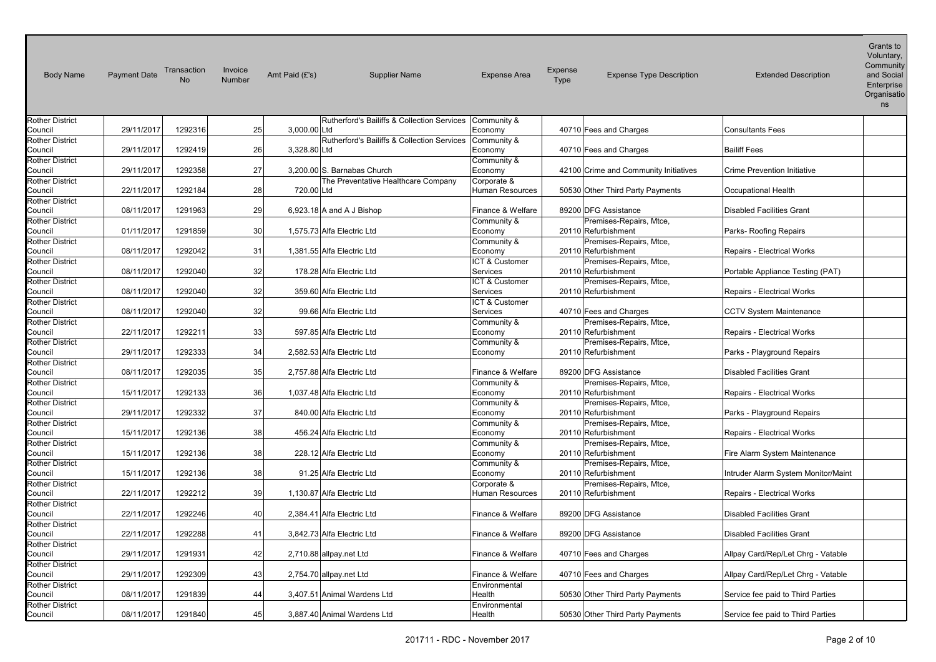Amt Paid (f's) and Social Rutherford's Bailiffs & Collection Services Economy The All the Holomes and Charges The Consultants Fees Rutherford's Bailiffs & Collection Services Economy The AD710 Fees and Charges The Bailiff Fees Council 29/11/2017 1292358 27 3,200.00 S. Barnabas Church The Preventative Healthcare Company Human Resources | 50530 Other Third Party Payments | Occupational Health Council 08/11/2017 1291963 29 6,923.18 A and A J Bishop Finance & Welfare 89200 DFG Assistance Disabled Facilities Grant Council 01/11/2017 1291859 30 1,575.73 Alfa Electric Ltd Premises-Repairs, Mtce, Council 08/11/2017 1292042 31 1,381.55 Alfa Electric Ltd Premises-Repairs, Mtce, Refurbishment **Repairs** - Electrical Works Council 08/11/2017 1292040 32 178.28 Alfa Electric Ltd Premises-Repairs, Mtce, Refurbishment **Portable Appliance Testing (PAT)**  Council 08/11/2017 1292040 32 359.60 Alfa Electric Ltd Premises-Repairs, Mtce, Refurbishment Repairs - Electrical Works Council 08/11/2017 1292040 32 99.66 Alfa Electric Ltd Council 22/11/2017 1292211 33 597.85 Alfa Electric Ltd Premises-Repairs, Mtce, Refurbishment Repairs - Electrical Works Council 29/11/2017 1292333 34 2,582.53 Alfa Electric Ltd Premises-Repairs, Mtce, Council 08/11/2017 1292035 35 2,757.88 Alfa Electric Ltd Finance & Welfare 89200 DFG Assistance Disabled Facilities Grant Council 15/11/2017 1292133 36 1,037.48 Alfa Electric Ltd Premises-Repairs, Mtce, Refurbishment **Repairs** - Electrical Works Council 29/11/2017 1292332 37 840.00 Alfa Electric Ltd Premises-Repairs, Mtce, Council 15/11/2017 1292136 38 456.24 Alfa Electric Ltd Premises-Repairs, Mtce, Refurbishment Repairs - Electrical Works Council 15/11/2017 1292136 38 228.12 Alfa Electric Ltd Premises-Repairs, Mtce, Refurbishment **Fire Alarm System Maintenance**  Council 15/11/2017 1292136 38 91.25 Alfa Electric Ltd Premises-Repairs, Mtce, Refurbishment **Intruder Alarm System Monitor/Maint**  Council 22/11/2017 1292212 39 1,130.87 Alfa Electric Ltd Premises-Repairs, Mtce, Refurbishment Repairs - Electrical Works 2,384.41 Alfa Electric Ltd 3.842.73 Alfa Electric Ltd 40710 Fees and Charges 40710 Fees and Charges Council 08/11/2017 1291839 44 3,407.51 Animal Wardens Ltd Council 08/11/2017 1291840 45 3,887.40 Animal Wardens Ltd Body Name Payment Date Transaction No Invoice Invoice Amt Paid (£'s) Supplier Name Expense Area Expense Expense Type Description Extended Description<br>Number Voluntary, **Community Enterprise Organisatio** ns Rother District Council 29/11/2017 1292316 25 3.000.00 Ltd Community & Rother District Council 29/11/2017 1292419 26 3,328.80 3 328 80 I td Community & Rother District Community & Economy 192100 Crime and Community Initiatives Crime Prevention Initiative Rother District Council 122/11/2017 1292184 28 720.00 Ltd Corporate & Rother District Rother District Community & Economy | 20110 Refurbishment **Parks- Roofing Repairs** Rother District Community & Economy 1990-101-20110 Refurbishment Rother District ICT & Customer Services 20110 Refurbishment Rother District ICT & Customer Services 20110 Refurbishment Rother District ICT & Customer Services 1992 40710 Fees and Charges CCTV System Maintenance Rother District Community & Economy 1 20110 Refurbishment Rother District Community & Economy 20110 Refurbishment Parks - Playground Repairs Rother District Rother District Community & Economy 20110 Rother District Community & Economy 20110 Refurbishment Parks - Playground Repairs Rother District Community & Economy | 20110 Refurbishment Rother District Community & Economy | 20110 Refurbishment Rother District Community & Economy | 20110 Refurbishment Rother District Corporate & Human Resources | 20110 Refurbishment Rother District Council 22/11/2017 1292246 40 2,384.41 Alfa Electric Ltd Finance & Welfare 89200 DFG Assistance Disabled Facilities Grant Rother District Council 22/11/2017 1292288 41 3,842.73 Alfa Electric Ltd Finance & Welfare 89200 DFG Assistance Disabled Facilities Grant Rother District Council 29/11/2017 1291931 42 2,710.88 allpay.net Ltd Finance & Welfare 40710 Fees and Charges Allpay Card/Rep/Let Chrg - Vatable Rother District Council 29/11/2017 1292309 43 2,754.70 allpay.net Ltd Finance & Welfare 40710 Fees and Charges Allpay Card/Rep/Let Chrg - Vatable Rother District **Environmental** Health 50530 Other Third Party Payments Service fee paid to Third Parties Rother District **Environmental** Health **50530** Other Third Party Payments Service fee paid to Third Parties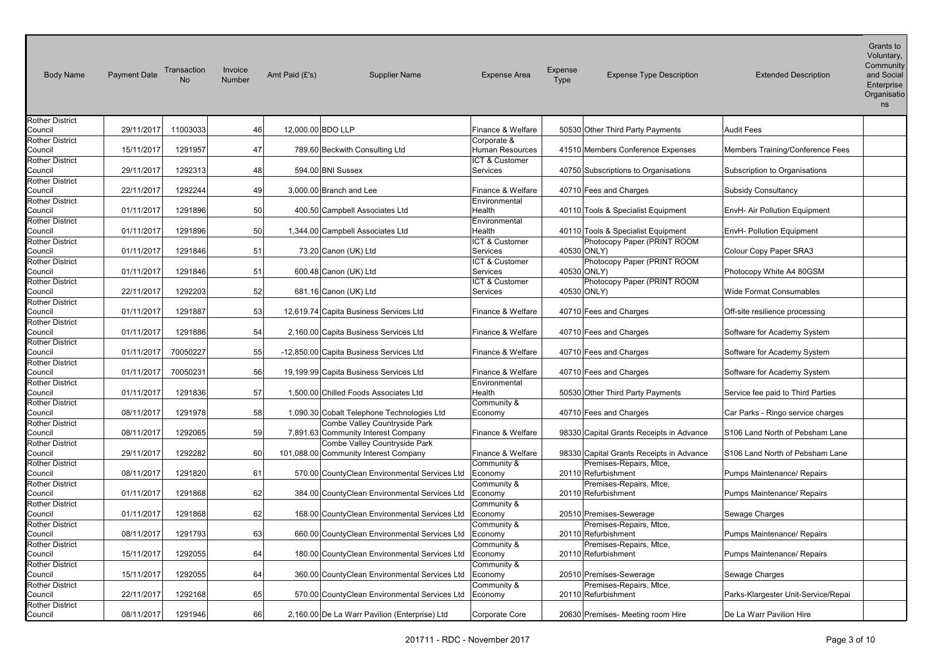| <b>Body Name</b>                  | <b>Payment Date</b> | Transaction<br>No | Invoice<br><b>Number</b> | Amt Paid (£'s)<br><b>Supplier Name</b>                               | <b>Expense Area</b>        | Expense<br>Type | <b>Expense Type Description</b>          | <b>Extended Description</b>         | Voluntary,<br>Community<br>and Social<br>Enterprise<br>Organisatio<br>ns |
|-----------------------------------|---------------------|-------------------|--------------------------|----------------------------------------------------------------------|----------------------------|-----------------|------------------------------------------|-------------------------------------|--------------------------------------------------------------------------|
| <b>Rother District</b>            |                     |                   |                          |                                                                      |                            |                 |                                          |                                     |                                                                          |
| Council                           | 29/11/2017          | 11003033          | 46                       | 12,000.00 BDO LLP                                                    | Finance & Welfare          |                 | 50530 Other Third Party Payments         | <b>Audit Fees</b>                   |                                                                          |
| <b>Rother District</b>            |                     |                   |                          |                                                                      | Corporate &                |                 |                                          |                                     |                                                                          |
| Council                           | 15/11/2017          | 1291957           | 47                       | 789.60 Beckwith Consulting Ltd                                       | Human Resources            |                 | 41510 Members Conference Expenses        | Members Training/Conference Fees    |                                                                          |
| Rother District<br>Council        | 29/11/2017          | 1292313           | 48                       | 594.00 BNI Sussex                                                    | ICT & Customer<br>Services |                 | 40750 Subscriptions to Organisations     | Subscription to Organisations       |                                                                          |
| <b>Rother District</b>            |                     |                   |                          |                                                                      |                            |                 |                                          |                                     |                                                                          |
| Council                           | 22/11/2017          | 1292244           | 49                       | 3,000.00 Branch and Lee                                              | Finance & Welfare          |                 | 40710 Fees and Charges                   | Subsidy Consultancy                 |                                                                          |
| <b>Rother District</b>            |                     |                   |                          |                                                                      | Environmental              |                 |                                          |                                     |                                                                          |
| Council                           | 01/11/2017          | 1291896           | 50                       | 400.50 Campbell Associates Ltd                                       | Health                     |                 | 40110 Tools & Specialist Equipment       | EnvH- Air Pollution Equipment       |                                                                          |
| Rother District                   |                     |                   |                          |                                                                      | Environmental              |                 |                                          |                                     |                                                                          |
| Council                           | 01/11/2017          | 1291896           | 50                       | 1,344.00 Campbell Associates Ltd                                     | Health                     |                 | 40110 Tools & Specialist Equipment       | <b>EnvH- Pollution Equipment</b>    |                                                                          |
| <b>Rother District</b>            |                     |                   |                          |                                                                      | ICT & Customer             |                 | Photocopy Paper (PRINT ROOM              |                                     |                                                                          |
| Council                           | 01/11/2017          | 1291846           | 51                       | 73.20 Canon (UK) Ltd                                                 | Services                   | 40530 ONLY)     |                                          | Colour Copy Paper SRA3              |                                                                          |
| <b>Rother District</b>            |                     |                   |                          |                                                                      | ICT & Customer             |                 | Photocopy Paper (PRINT ROOM              |                                     |                                                                          |
| Council                           | 01/11/2017          | 1291846           | 51                       | 600.48 Canon (UK) Ltd                                                | Services                   | 40530 ONLY)     |                                          | Photocopy White A4 80GSM            |                                                                          |
| <b>Rother District</b>            |                     |                   |                          |                                                                      | ICT & Customer             |                 | Photocopy Paper (PRINT ROOM              |                                     |                                                                          |
| Council                           | 22/11/2017          | 1292203           | 52                       | 681.16 Canon (UK) Ltd                                                | Services                   | 40530 ONLY)     |                                          | Wide Format Consumables             |                                                                          |
| <b>Rother District</b><br>Council | 01/11/2017          | 1291887           | 53                       | 12,619.74 Capita Business Services Ltd                               | Finance & Welfare          |                 | 40710 Fees and Charges                   |                                     |                                                                          |
| <b>Rother District</b>            |                     |                   |                          |                                                                      |                            |                 |                                          | Off-site resilience processing      |                                                                          |
| Council                           | 01/11/2017          | 1291886           | 54                       | 2,160.00 Capita Business Services Ltd                                | Finance & Welfare          |                 | 40710 Fees and Charges                   | Software for Academy System         |                                                                          |
| <b>Rother District</b>            |                     |                   |                          |                                                                      |                            |                 |                                          |                                     |                                                                          |
| Council                           | 01/11/2017          | 70050227          | 55                       | -12,850.00 Capita Business Services Ltd                              | Finance & Welfare          |                 | 40710 Fees and Charges                   | Software for Academy System         |                                                                          |
| <b>Rother District</b>            |                     |                   |                          |                                                                      |                            |                 |                                          |                                     |                                                                          |
| Council                           | 01/11/2017          | 70050231          | 56                       | 19,199.99 Capita Business Services Ltd                               | Finance & Welfare          |                 | 40710 Fees and Charges                   | Software for Academy System         |                                                                          |
| <b>Rother District</b>            |                     |                   |                          |                                                                      | Environmental              |                 |                                          |                                     |                                                                          |
| Council                           | 01/11/2017          | 1291836           | 57                       | 1,500.00 Chilled Foods Associates Ltd                                | Health                     |                 | 50530 Other Third Party Payments         | Service fee paid to Third Parties   |                                                                          |
| Rother District                   |                     |                   |                          |                                                                      | Community &                |                 |                                          |                                     |                                                                          |
| Council                           | 08/11/2017          | 1291978           | 58                       | 1,090.30 Cobalt Telephone Technologies Ltd                           | Economy                    |                 | 40710 Fees and Charges                   | Car Parks - Ringo service charges   |                                                                          |
| <b>Rother District</b>            | 08/11/2017          | 1292065           | 59                       | Combe Valley Countryside Park<br>7,891.63 Community Interest Company | Finance & Welfare          |                 | 98330 Capital Grants Receipts in Advance | S106 Land North of Pebsham Lane     |                                                                          |
| Council<br>Rother District        |                     |                   |                          | Combe Valley Countryside Park                                        |                            |                 |                                          |                                     |                                                                          |
| Council                           | 29/11/2017          | 1292282           | 60                       | 101,088.00 Community Interest Company                                | Finance & Welfare          |                 | 98330 Capital Grants Receipts in Advance | S106 Land North of Pebsham Lane     |                                                                          |
| <b>Rother District</b>            |                     |                   |                          |                                                                      | Community &                |                 | Premises-Repairs, Mtce,                  |                                     |                                                                          |
| Council                           | 08/11/2017          | 1291820           | 61                       | 570.00 CountyClean Environmental Services Ltd                        | Economy                    |                 | 20110 Refurbishment                      | Pumps Maintenance/ Repairs          |                                                                          |
| <b>Rother District</b>            |                     |                   |                          |                                                                      | Community &                |                 | Premises-Repairs, Mtce,                  |                                     |                                                                          |
| Council                           | 01/11/2017          | 1291868           | 62                       | 384.00 CountyClean Environmental Services Ltd                        | Economy                    |                 | 20110 Refurbishment                      | Pumps Maintenance/ Repairs          |                                                                          |
| Rother District                   |                     |                   |                          |                                                                      | Community &                |                 |                                          |                                     |                                                                          |
| Council                           | 01/11/2017          | 1291868           | 62                       | 168.00 CountyClean Environmental Services Ltd                        | Economy                    |                 | 20510 Premises-Sewerage                  | Sewage Charges                      |                                                                          |
| Rother District                   |                     |                   |                          |                                                                      | Community &                |                 | Premises-Repairs, Mtce,                  |                                     |                                                                          |
| Council                           | 08/11/2017          | 1291793           | 63                       | 660.00 CountyClean Environmental Services Ltd                        | Economy                    |                 | 20110 Refurbishment                      | Pumps Maintenance/ Repairs          |                                                                          |
| <b>Rother District</b>            |                     | 1292055           | 64                       |                                                                      | Community &                |                 | Premises-Repairs, Mtce,                  |                                     |                                                                          |
| Council                           | 15/11/2017          |                   |                          | 180.00 CountyClean Environmental Services Ltd                        | Economy                    |                 | 20110 Refurbishment                      | Pumps Maintenance/ Repairs          |                                                                          |
| Rother District<br>Council        | 15/11/2017          | 1292055           | 64                       | 360.00 CountyClean Environmental Services Ltd                        | Community &<br>Economy     |                 | 20510 Premises-Sewerage                  | Sewage Charges                      |                                                                          |
| <b>Rother District</b>            |                     |                   |                          |                                                                      | Community &                |                 | Premises-Repairs, Mtce,                  |                                     |                                                                          |
| Council                           | 22/11/2017          | 1292168           | 65                       | 570.00 CountyClean Environmental Services Ltd                        | Economy                    |                 | 20110 Refurbishment                      | Parks-Klargester Unit-Service/Repai |                                                                          |
| <b>Rother District</b>            |                     |                   |                          |                                                                      |                            |                 |                                          |                                     |                                                                          |
| Council                           | 08/11/2017          | 1291946           | 66                       | 2,160.00 De La Warr Pavilion (Enterprise) Ltd                        | Corporate Core             |                 | 20630 Premises- Meeting room Hire        | De La Warr Pavilion Hire            |                                                                          |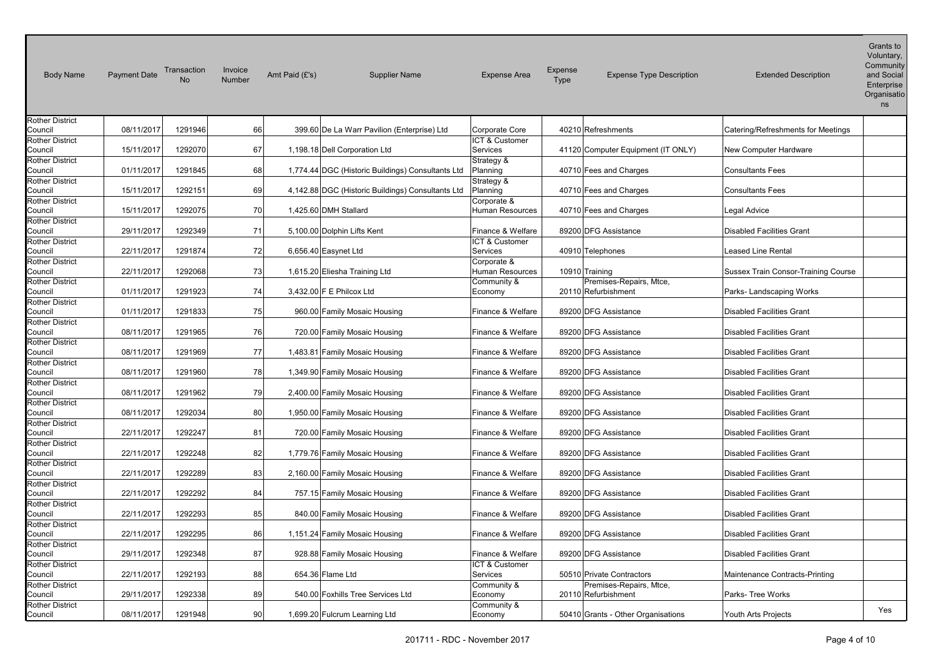| <b>Body Name</b>                  | <b>Payment Date</b> | Transaction<br><b>No</b> | Invoice<br>Number | Amt Paid (£'s) | <b>Supplier Name</b>                              | <b>Expense Area</b>              | Expense<br>Type | <b>Expense Type Description</b>                | <b>Extended Description</b>         | Voluntary,<br>Community<br>and Social<br>Enterprise<br>Organisatio<br>ns |
|-----------------------------------|---------------------|--------------------------|-------------------|----------------|---------------------------------------------------|----------------------------------|-----------------|------------------------------------------------|-------------------------------------|--------------------------------------------------------------------------|
| <b>Rother District</b>            |                     |                          |                   |                |                                                   |                                  |                 |                                                |                                     |                                                                          |
| Council                           | 08/11/2017          | 1291946                  | 66                |                | 399.60 De La Warr Pavilion (Enterprise) Ltd       | Corporate Core<br>ICT & Customer |                 | 40210 Refreshments                             | Catering/Refreshments for Meetings  |                                                                          |
| <b>Rother District</b><br>Council | 15/11/2017          | 1292070                  | 67                |                | 1,198.18 Dell Corporation Ltd                     | Services                         |                 | 41120 Computer Equipment (IT ONLY)             | New Computer Hardware               |                                                                          |
| <b>Rother District</b>            |                     |                          |                   |                |                                                   | Strategy &                       |                 |                                                |                                     |                                                                          |
| Council                           | 01/11/2017          | 1291845                  | 68                |                | 1,774.44 DGC (Historic Buildings) Consultants Ltd | Planning                         |                 | 40710 Fees and Charges                         | <b>Consultants Fees</b>             |                                                                          |
| <b>Rother District</b>            |                     |                          |                   |                |                                                   | Strategy &                       |                 |                                                |                                     |                                                                          |
| Council                           | 15/11/2017          | 1292151                  | 69                |                | 4,142.88 DGC (Historic Buildings) Consultants Ltd | Planning                         |                 | 40710 Fees and Charges                         | <b>Consultants Fees</b>             |                                                                          |
| <b>Rother District</b>            |                     |                          |                   |                |                                                   | Corporate &                      |                 |                                                |                                     |                                                                          |
| Council                           | 15/11/2017          | 1292075                  | 70                |                | 1,425.60 DMH Stallard                             | <b>Human Resources</b>           |                 | 40710 Fees and Charges                         | Legal Advice                        |                                                                          |
| <b>Rother District</b>            |                     |                          |                   |                |                                                   |                                  |                 |                                                |                                     |                                                                          |
| Council                           | 29/11/2017          | 1292349                  | 71                |                | 5,100.00 Dolphin Lifts Kent                       | Finance & Welfare                |                 | 89200 DFG Assistance                           | <b>Disabled Facilities Grant</b>    |                                                                          |
| <b>Rother District</b>            |                     |                          |                   |                |                                                   | ICT & Customer                   |                 |                                                |                                     |                                                                          |
| Council                           | 22/11/2017          | 1291874                  | 72                |                | 6,656.40 Easynet Ltd                              | Services                         |                 | 40910 Telephones                               | Leased Line Rental                  |                                                                          |
| <b>Rother District</b>            |                     |                          |                   |                |                                                   | Corporate &                      |                 |                                                |                                     |                                                                          |
| Council                           | 22/11/2017          | 1292068                  | 73                |                | 1,615.20 Eliesha Training Ltd                     | Human Resources                  | 10910 Training  |                                                | Sussex Train Consor-Training Course |                                                                          |
| <b>Rother District</b><br>Council | 01/11/2017          | 1291923                  | 74                |                | 3,432.00 F E Philcox Ltd                          | Community &<br>Economy           |                 | Premises-Repairs, Mtce,<br>20110 Refurbishment | Parks-Landscaping Works             |                                                                          |
| <b>Rother District</b>            |                     |                          |                   |                |                                                   |                                  |                 |                                                |                                     |                                                                          |
| Council                           | 01/11/2017          | 1291833                  | 75                |                | 960.00 Family Mosaic Housing                      | Finance & Welfare                |                 | 89200 DFG Assistance                           | <b>Disabled Facilities Grant</b>    |                                                                          |
| <b>Rother District</b>            |                     |                          |                   |                |                                                   |                                  |                 |                                                |                                     |                                                                          |
| Council                           | 08/11/2017          | 1291965                  | 76                |                | 720.00 Family Mosaic Housing                      | Finance & Welfare                |                 | 89200 DFG Assistance                           | <b>Disabled Facilities Grant</b>    |                                                                          |
| <b>Rother District</b>            |                     |                          |                   |                |                                                   |                                  |                 |                                                |                                     |                                                                          |
| Council                           | 08/11/2017          | 1291969                  | 77                |                | 1,483.81 Family Mosaic Housing                    | Finance & Welfare                |                 | 89200 DFG Assistance                           | <b>Disabled Facilities Grant</b>    |                                                                          |
| <b>Rother District</b>            |                     |                          |                   |                |                                                   |                                  |                 |                                                |                                     |                                                                          |
| Council                           | 08/11/2017          | 1291960                  | 78                |                | 1,349.90 Family Mosaic Housing                    | Finance & Welfare                |                 | 89200 DFG Assistance                           | <b>Disabled Facilities Grant</b>    |                                                                          |
| <b>Rother District</b><br>Council | 08/11/2017          | 1291962                  | 79                |                | 2,400.00 Family Mosaic Housing                    | Finance & Welfare                |                 | 89200 DFG Assistance                           | <b>Disabled Facilities Grant</b>    |                                                                          |
| <b>Rother District</b>            |                     |                          |                   |                |                                                   |                                  |                 |                                                |                                     |                                                                          |
| Council                           | 08/11/2017          | 1292034                  | 80                |                | 1,950.00 Family Mosaic Housing                    | Finance & Welfare                |                 | 89200 DFG Assistance                           | <b>Disabled Facilities Grant</b>    |                                                                          |
| <b>Rother District</b>            |                     |                          |                   |                |                                                   |                                  |                 |                                                |                                     |                                                                          |
| Council                           | 22/11/2017          | 1292247                  | 81                |                | 720.00 Family Mosaic Housing                      | Finance & Welfare                |                 | 89200 DFG Assistance                           | <b>Disabled Facilities Grant</b>    |                                                                          |
| <b>Rother District</b>            |                     |                          |                   |                |                                                   |                                  |                 |                                                |                                     |                                                                          |
| Council                           | 22/11/2017          | 1292248                  | 82                |                | 1,779.76 Family Mosaic Housing                    | Finance & Welfare                |                 | 89200 DFG Assistance                           | <b>Disabled Facilities Grant</b>    |                                                                          |
| <b>Rother District</b>            |                     |                          |                   |                |                                                   |                                  |                 |                                                |                                     |                                                                          |
| Council                           | 22/11/2017          | 1292289                  | 83                |                | 2,160.00 Family Mosaic Housing                    | Finance & Welfare                |                 | 89200 DFG Assistance                           | <b>Disabled Facilities Grant</b>    |                                                                          |
| <b>Rother District</b>            |                     | 1292292                  | 84                |                |                                                   | Finance & Welfare                |                 | 89200 DFG Assistance                           | <b>Disabled Facilities Grant</b>    |                                                                          |
| Council<br><b>Rother District</b> | 22/11/2017          |                          |                   |                | 757.15 Family Mosaic Housing                      |                                  |                 |                                                |                                     |                                                                          |
| Council                           | 22/11/2017          | 1292293                  | 85                |                | 840.00 Family Mosaic Housing                      | Finance & Welfare                |                 | 89200 DFG Assistance                           | <b>Disabled Facilities Grant</b>    |                                                                          |
| <b>Rother District</b>            |                     |                          |                   |                |                                                   |                                  |                 |                                                |                                     |                                                                          |
| Council                           | 22/11/2017          | 1292295                  | 86                |                | 1,151.24 Family Mosaic Housing                    | Finance & Welfare                |                 | 89200 DFG Assistance                           | <b>Disabled Facilities Grant</b>    |                                                                          |
| <b>Rother District</b>            |                     |                          |                   |                |                                                   |                                  |                 |                                                |                                     |                                                                          |
| Council                           | 29/11/2017          | 1292348                  | 87                |                | 928.88 Family Mosaic Housing                      | Finance & Welfare                |                 | 89200 DFG Assistance                           | <b>Disabled Facilities Grant</b>    |                                                                          |
| <b>Rother District</b>            |                     |                          |                   |                |                                                   | ICT & Customer                   |                 |                                                |                                     |                                                                          |
| Council                           | 22/11/2017          | 1292193                  | 88                |                | 654.36 Flame Ltd                                  | Services                         |                 | 50510 Private Contractors                      | Maintenance Contracts-Printing      |                                                                          |
| <b>Rother District</b>            |                     |                          |                   |                |                                                   | Community &                      |                 | Premises-Repairs, Mtce,                        |                                     |                                                                          |
| Council                           | 29/11/2017          | 1292338                  | 89                |                | 540.00 Foxhills Tree Services Ltd                 | Economy                          |                 | 20110 Refurbishment                            | Parks- Tree Works                   |                                                                          |
| <b>Rother District</b><br>Council | 08/11/2017          | 1291948                  | 90                |                | 1,699.20 Fulcrum Learning Ltd                     | Community &<br>Economy           |                 | 50410 Grants - Other Organisations             | Youth Arts Projects                 | Yes                                                                      |
|                                   |                     |                          |                   |                |                                                   |                                  |                 |                                                |                                     |                                                                          |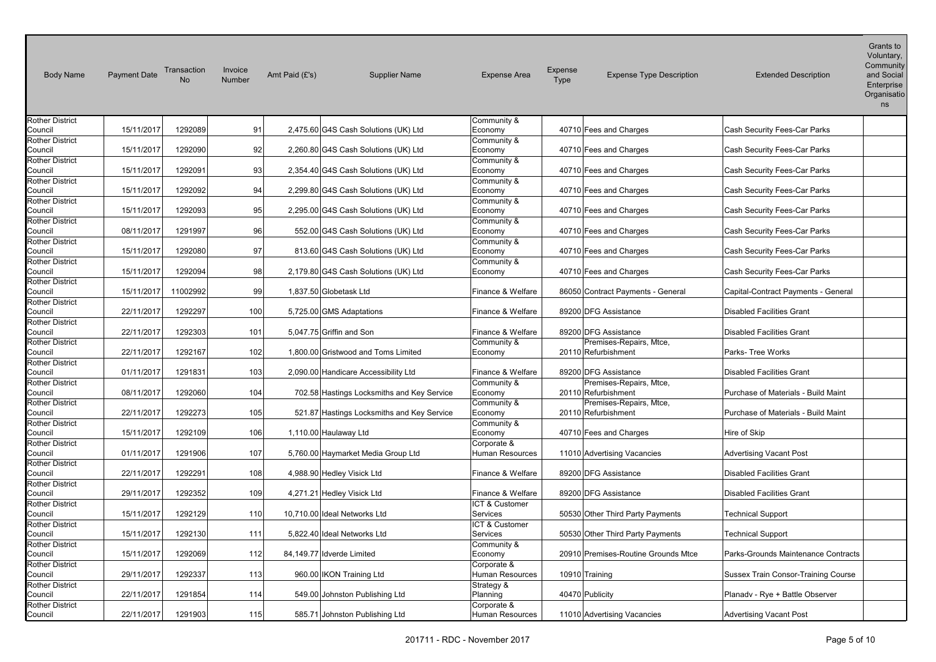| <b>Body Name</b>       | <b>Payment Date</b> | Transaction<br><b>No</b> | Invoice<br>Number | Amt Paid (£'s) | <b>Supplier Name</b>                       | <b>Expense Area</b>    | Expense<br>Type | <b>Expense Type Description</b>     | <b>Extended Description</b>         | Voluntary,<br>Community<br>and Social<br>Enterprise<br>Organisatio<br>ns |
|------------------------|---------------------|--------------------------|-------------------|----------------|--------------------------------------------|------------------------|-----------------|-------------------------------------|-------------------------------------|--------------------------------------------------------------------------|
| <b>Rother District</b> |                     |                          |                   |                |                                            | Community &            |                 |                                     |                                     |                                                                          |
| Council                | 15/11/2017          | 1292089                  | 91                |                | 2,475.60 G4S Cash Solutions (UK) Ltd       | Economy                |                 | 40710 Fees and Charges              | Cash Security Fees-Car Parks        |                                                                          |
| <b>Rother District</b> |                     |                          |                   |                |                                            | Community &            |                 |                                     |                                     |                                                                          |
| Council                | 15/11/2017          | 1292090                  | 92                |                | 2,260.80 G4S Cash Solutions (UK) Ltd       | Economy                |                 | 40710 Fees and Charges              | Cash Security Fees-Car Parks        |                                                                          |
| <b>Rother District</b> |                     |                          |                   |                |                                            | Community &            |                 |                                     |                                     |                                                                          |
| Council                | 15/11/2017          | 1292091                  | 93                |                | 2,354.40 G4S Cash Solutions (UK) Ltd       | Economy                |                 | 40710 Fees and Charges              | Cash Security Fees-Car Parks        |                                                                          |
| <b>Rother District</b> |                     |                          |                   |                |                                            | Community &            |                 |                                     |                                     |                                                                          |
| Council                | 15/11/2017          | 1292092                  | 94                |                | 2,299.80 G4S Cash Solutions (UK) Ltd       | Economy                |                 | 40710 Fees and Charges              | Cash Security Fees-Car Parks        |                                                                          |
| <b>Rother District</b> |                     |                          |                   |                |                                            | Community &            |                 |                                     |                                     |                                                                          |
| Council                | 15/11/2017          | 1292093                  | 95                |                | 2,295.00 G4S Cash Solutions (UK) Ltd       | Economy                |                 | 40710 Fees and Charges              | Cash Security Fees-Car Parks        |                                                                          |
| <b>Rother District</b> |                     |                          |                   |                |                                            | Community &            |                 |                                     |                                     |                                                                          |
| Council                | 08/11/2017          | 1291997                  | 96                |                | 552.00 G4S Cash Solutions (UK) Ltd         | Economy                |                 | 40710 Fees and Charges              | Cash Security Fees-Car Parks        |                                                                          |
| <b>Rother District</b> |                     |                          |                   |                |                                            | Community &            |                 |                                     |                                     |                                                                          |
| Council                | 15/11/2017          | 1292080                  | 97                |                | 813.60 G4S Cash Solutions (UK) Ltd         | Economy                |                 | 40710 Fees and Charges              | Cash Security Fees-Car Parks        |                                                                          |
| <b>Rother District</b> |                     |                          |                   |                |                                            | Community &            |                 |                                     |                                     |                                                                          |
| Council                | 15/11/2017          | 1292094                  | 98                |                | 2,179.80 G4S Cash Solutions (UK) Ltd       | Economy                |                 | 40710 Fees and Charges              | Cash Security Fees-Car Parks        |                                                                          |
| <b>Rother District</b> |                     |                          |                   |                |                                            |                        |                 |                                     |                                     |                                                                          |
| Council                | 15/11/2017          | 11002992                 | 99                |                | 1,837.50 Globetask Ltd                     | Finance & Welfare      |                 | 86050 Contract Payments - General   | Capital-Contract Payments - General |                                                                          |
| <b>Rother District</b> |                     |                          |                   |                |                                            |                        |                 |                                     |                                     |                                                                          |
| Council                | 22/11/2017          | 1292297                  | 100               |                | 5,725.00 GMS Adaptations                   | Finance & Welfare      |                 | 89200 DFG Assistance                | <b>Disabled Facilities Grant</b>    |                                                                          |
| <b>Rother District</b> |                     |                          |                   |                |                                            |                        |                 |                                     |                                     |                                                                          |
| Council                | 22/11/2017          | 1292303                  | 101               |                | 5,047.75 Griffin and Son                   | Finance & Welfare      |                 | 89200 DFG Assistance                | <b>Disabled Facilities Grant</b>    |                                                                          |
| <b>Rother District</b> |                     |                          |                   |                |                                            | Community &            |                 | Premises-Repairs, Mtce,             |                                     |                                                                          |
| Council                | 22/11/2017          | 1292167                  | 102               |                | 1,800.00 Gristwood and Toms Limited        | Economy                |                 | 20110 Refurbishment                 | Parks- Tree Works                   |                                                                          |
| <b>Rother District</b> |                     |                          |                   |                |                                            |                        |                 |                                     |                                     |                                                                          |
| Council                | 01/11/2017          | 1291831                  | 103               |                | 2,090.00 Handicare Accessibility Ltd       | Finance & Welfare      |                 | 89200 DFG Assistance                | <b>Disabled Facilities Grant</b>    |                                                                          |
| <b>Rother District</b> |                     |                          |                   |                |                                            | Community &            |                 | Premises-Repairs, Mtce,             |                                     |                                                                          |
| Council                | 08/11/2017          | 1292060                  | 104               |                | 702.58 Hastings Locksmiths and Key Service | Economy                |                 | 20110 Refurbishment                 | Purchase of Materials - Build Maint |                                                                          |
| <b>Rother District</b> |                     |                          |                   |                |                                            | Community &            |                 | Premises-Repairs, Mtce,             |                                     |                                                                          |
| Council                | 22/11/2017          | 1292273                  | 105               |                | 521.87 Hastings Locksmiths and Key Service | Economy                |                 | 20110 Refurbishment                 | Purchase of Materials - Build Maint |                                                                          |
| <b>Rother District</b> |                     |                          |                   |                |                                            | Community &            |                 |                                     |                                     |                                                                          |
| Council                | 15/11/2017          | 1292109                  | 106               |                | 1,110.00 Haulaway Ltd                      | Economy                |                 | 40710 Fees and Charges              | Hire of Skip                        |                                                                          |
| <b>Rother District</b> |                     |                          |                   |                |                                            | Corporate &            |                 |                                     |                                     |                                                                          |
| Council                | 01/11/2017          | 1291906                  | 107               |                | 5,760.00 Haymarket Media Group Ltd         | Human Resources        |                 | 11010 Advertising Vacancies         | <b>Advertising Vacant Post</b>      |                                                                          |
| <b>Rother District</b> |                     |                          |                   |                |                                            |                        |                 |                                     |                                     |                                                                          |
| Council                | 22/11/2017          | 1292291                  | 108               |                | 4,988.90 Hedley Visick Ltd                 | Finance & Welfare      |                 | 89200 DFG Assistance                | <b>Disabled Facilities Grant</b>    |                                                                          |
| <b>Rother District</b> |                     |                          |                   |                |                                            |                        |                 |                                     |                                     |                                                                          |
| Council                | 29/11/2017          | 1292352                  | 109               |                | 4,271.21 Hedley Visick Ltd                 | Finance & Welfare      |                 | 89200 DFG Assistance                | <b>Disabled Facilities Grant</b>    |                                                                          |
| <b>Rother District</b> |                     |                          |                   |                |                                            | ICT & Customer         |                 |                                     |                                     |                                                                          |
| Council                | 15/11/2017          | 1292129                  | 110               |                | 10,710.00 Ideal Networks Ltd               | Services               |                 | 50530 Other Third Party Payments    | <b>Technical Support</b>            |                                                                          |
| <b>Rother District</b> |                     |                          |                   |                |                                            | ICT & Customer         |                 |                                     |                                     |                                                                          |
| Council                | 15/11/2017          | 1292130                  | 111               |                | 5.822.40 Ideal Networks Ltd                | Services               |                 | 50530 Other Third Party Payments    | <b>Technical Support</b>            |                                                                          |
| <b>Rother District</b> |                     |                          |                   |                |                                            | Community &            |                 |                                     |                                     |                                                                          |
| Council                | 15/11/2017          | 1292069                  | 112               |                | 84,149.77 Idverde Limited                  | Economy                |                 | 20910 Premises-Routine Grounds Mtce | Parks-Grounds Maintenance Contracts |                                                                          |
| <b>Rother District</b> |                     |                          |                   |                |                                            | Corporate &            |                 |                                     |                                     |                                                                          |
| Council                | 29/11/2017          | 1292337                  | 113               |                | 960.00 IKON Training Ltd                   | Human Resources        | 10910 Training  |                                     | Sussex Train Consor-Training Course |                                                                          |
| Rother District        |                     |                          |                   |                |                                            | Strategy &             |                 |                                     |                                     |                                                                          |
| Council                | 22/11/2017          | 1291854                  | 114               |                | 549.00 Johnston Publishing Ltd             | Planning               | 40470 Publicity |                                     | Planady - Rye + Battle Observer     |                                                                          |
| <b>Rother District</b> |                     |                          |                   |                |                                            | Corporate &            |                 |                                     |                                     |                                                                          |
| Council                | 22/11/2017          | 1291903                  | 115               |                | 585.71 Johnston Publishing Ltd             | <b>Human Resources</b> |                 | 11010 Advertising Vacancies         | Advertising Vacant Post             |                                                                          |
|                        |                     |                          |                   |                |                                            |                        |                 |                                     |                                     |                                                                          |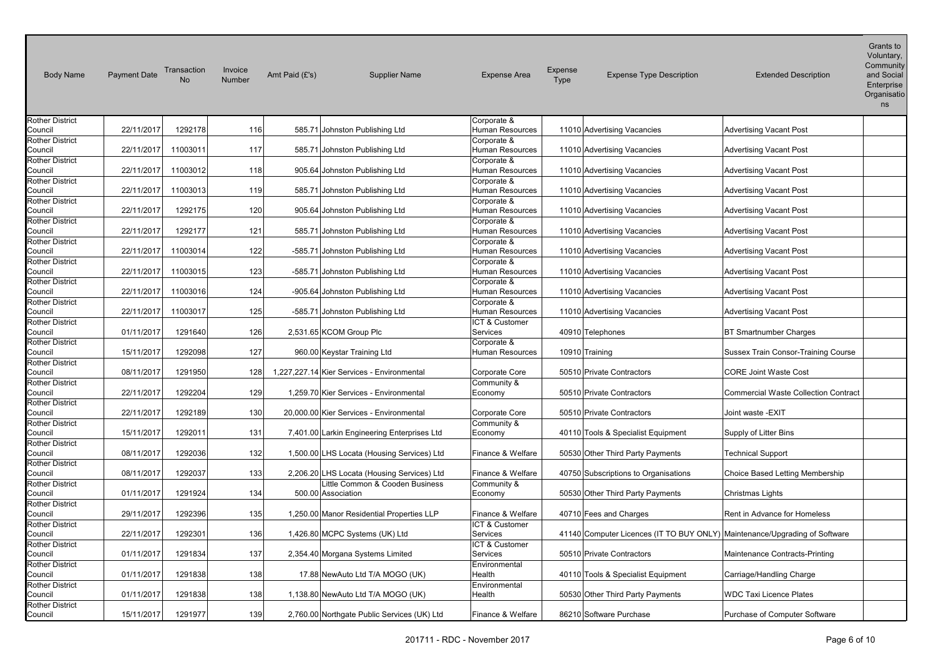| <b>Body Name</b>       | <b>Payment Date</b> | Transaction<br><b>No</b> | Invoice<br>Number | Amt Paid (£'s) | <b>Supplier Name</b>                        | <b>Expense Area</b>    | Expense<br><b>Type</b> | <b>Expense Type Description</b>      | <b>Extended Description</b>                                                | Voluntary,<br>Community<br>and Social<br>Enterprise<br>Organisatio<br>ns |
|------------------------|---------------------|--------------------------|-------------------|----------------|---------------------------------------------|------------------------|------------------------|--------------------------------------|----------------------------------------------------------------------------|--------------------------------------------------------------------------|
| <b>Rother District</b> |                     |                          |                   |                |                                             | Corporate &            |                        |                                      |                                                                            |                                                                          |
| Council                | 22/11/2017          | 1292178                  | 116               |                | 585.71 Johnston Publishing Ltd              | <b>Human Resources</b> |                        | 11010 Advertising Vacancies          | <b>Advertising Vacant Post</b>                                             |                                                                          |
| <b>Rother District</b> |                     |                          |                   |                |                                             | Corporate &            |                        |                                      |                                                                            |                                                                          |
| Council                | 22/11/2017          | 11003011                 | 117               |                | 585.71 Johnston Publishing Ltd              | Human Resources        |                        | 11010 Advertising Vacancies          | <b>Advertising Vacant Post</b>                                             |                                                                          |
| <b>Rother District</b> |                     |                          |                   |                |                                             | Corporate &            |                        |                                      |                                                                            |                                                                          |
| Council                | 22/11/2017          | 11003012                 | 118               |                | 905.64 Johnston Publishing Ltd              | Human Resources        |                        | 11010 Advertising Vacancies          | <b>Advertising Vacant Post</b>                                             |                                                                          |
| <b>Rother District</b> |                     |                          |                   |                |                                             | Corporate &            |                        |                                      |                                                                            |                                                                          |
|                        |                     |                          |                   |                |                                             |                        |                        |                                      |                                                                            |                                                                          |
| Council                | 22/11/2017          | 11003013                 | 119               |                | 585.71 Johnston Publishing Ltd              | Human Resources        |                        | 11010 Advertising Vacancies          | <b>Advertising Vacant Post</b>                                             |                                                                          |
| <b>Rother District</b> |                     |                          |                   |                |                                             | Corporate &            |                        |                                      |                                                                            |                                                                          |
| Council                | 22/11/2017          | 1292175                  | 120               |                | 905.64 Johnston Publishing Ltd              | Human Resources        |                        | 11010 Advertising Vacancies          | <b>Advertising Vacant Post</b>                                             |                                                                          |
| <b>Rother District</b> |                     |                          |                   |                |                                             | Corporate &            |                        |                                      |                                                                            |                                                                          |
| Council                | 22/11/2017          | 1292177                  | 121               |                | 585.71 Johnston Publishing Ltd              | Human Resources        |                        | 11010 Advertising Vacancies          | <b>Advertising Vacant Post</b>                                             |                                                                          |
| <b>Rother District</b> |                     |                          |                   |                |                                             | Corporate &            |                        |                                      |                                                                            |                                                                          |
| Council                | 22/11/2017          | 11003014                 | 122               |                | -585.71 Johnston Publishing Ltd             | Human Resources        |                        | 11010 Advertising Vacancies          | <b>Advertising Vacant Post</b>                                             |                                                                          |
| <b>Rother District</b> |                     |                          |                   |                |                                             | Corporate &            |                        |                                      |                                                                            |                                                                          |
| Council                | 22/11/2017          | 11003015                 | 123               |                | -585.71 Johnston Publishing Ltd             | Human Resources        |                        | 11010 Advertising Vacancies          | <b>Advertising Vacant Post</b>                                             |                                                                          |
| Rother District        |                     |                          |                   |                |                                             | Corporate &            |                        |                                      |                                                                            |                                                                          |
| Council                | 22/11/2017          | 11003016                 | 124               |                | -905.64 Johnston Publishing Ltd             | Human Resources        |                        | 11010 Advertising Vacancies          | <b>Advertising Vacant Post</b>                                             |                                                                          |
| <b>Rother District</b> |                     |                          |                   |                |                                             | Corporate &            |                        |                                      |                                                                            |                                                                          |
| Council                | 22/11/2017          | 11003017                 | 125               |                | -585.71 Johnston Publishing Ltd             | <b>Human Resources</b> |                        | 11010 Advertising Vacancies          | <b>Advertising Vacant Post</b>                                             |                                                                          |
|                        |                     |                          |                   |                |                                             | ICT & Customer         |                        |                                      |                                                                            |                                                                          |
| <b>Rother District</b> |                     |                          |                   |                |                                             |                        |                        |                                      |                                                                            |                                                                          |
| Council                | 01/11/2017          | 1291640                  | 126               |                | 2,531.65 KCOM Group Plc                     | Services               |                        | 40910 Telephones                     | <b>BT Smartnumber Charges</b>                                              |                                                                          |
| <b>Rother District</b> |                     |                          |                   |                |                                             | Corporate &            |                        |                                      |                                                                            |                                                                          |
| Council                | 15/11/2017          | 1292098                  | 127               |                | 960.00 Keystar Training Ltd                 | <b>Human Resources</b> | 10910 Training         |                                      | Sussex Train Consor-Training Course                                        |                                                                          |
| <b>Rother District</b> |                     |                          |                   |                |                                             |                        |                        |                                      |                                                                            |                                                                          |
| Council                | 08/11/2017          | 1291950                  | 128               |                | 1,227,227.14 Kier Services - Environmental  | Corporate Core         |                        | 50510 Private Contractors            | <b>CORE Joint Waste Cost</b>                                               |                                                                          |
| <b>Rother District</b> |                     |                          |                   |                |                                             | Community &            |                        |                                      |                                                                            |                                                                          |
| Council                | 22/11/2017          | 1292204                  | 129               |                | 1,259.70 Kier Services - Environmental      | Economy                |                        | 50510 Private Contractors            | <b>Commercial Waste Collection Contract</b>                                |                                                                          |
| <b>Rother District</b> |                     |                          |                   |                |                                             |                        |                        |                                      |                                                                            |                                                                          |
| Council                | 22/11/2017          | 1292189                  | 130               |                | 20,000.00 Kier Services - Environmental     | Corporate Core         |                        | 50510 Private Contractors            | Joint waste -EXIT                                                          |                                                                          |
| <b>Rother District</b> |                     |                          |                   |                |                                             | Community &            |                        |                                      |                                                                            |                                                                          |
| Council                | 15/11/2017          | 1292011                  | 131               |                | 7,401.00 Larkin Engineering Enterprises Ltd | Economy                |                        | 40110 Tools & Specialist Equipment   | Supply of Litter Bins                                                      |                                                                          |
| <b>Rother District</b> |                     |                          |                   |                |                                             |                        |                        |                                      |                                                                            |                                                                          |
| Council                | 08/11/2017          | 1292036                  | 132               |                | 1,500.00 LHS Locata (Housing Services) Ltd  | Finance & Welfare      |                        | 50530 Other Third Party Payments     | <b>Technical Support</b>                                                   |                                                                          |
| <b>Rother District</b> |                     |                          |                   |                |                                             |                        |                        |                                      |                                                                            |                                                                          |
| Council                | 08/11/2017          | 1292037                  | 133               |                | 2,206.20 LHS Locata (Housing Services) Ltd  | Finance & Welfare      |                        | 40750 Subscriptions to Organisations | Choice Based Letting Membership                                            |                                                                          |
| <b>Rother District</b> |                     |                          |                   |                | Little Common & Cooden Business             | Community &            |                        |                                      |                                                                            |                                                                          |
| Council                | 01/11/2017          | 1291924                  | 134               |                | 500.00 Association                          | Economy                |                        | 50530 Other Third Party Payments     | Christmas Lights                                                           |                                                                          |
| <b>Rother District</b> |                     |                          |                   |                |                                             |                        |                        |                                      |                                                                            |                                                                          |
| Council                | 29/11/2017          | 1292396                  | 135               |                | 1,250.00 Manor Residential Properties LLP   | Finance & Welfare      |                        | 40710 Fees and Charges               | Rent in Advance for Homeless                                               |                                                                          |
|                        |                     |                          |                   |                |                                             | ICT & Customer         |                        |                                      |                                                                            |                                                                          |
| <b>Rother District</b> |                     |                          |                   |                |                                             |                        |                        |                                      |                                                                            |                                                                          |
| Council                | 22/11/2017          | 1292301                  | 136               |                | 1,426.80 MCPC Systems (UK) Ltd              | Services               |                        |                                      | 41140 Computer Licences (IT TO BUY ONLY) Maintenance/Upgrading of Software |                                                                          |
| <b>Rother District</b> |                     |                          |                   |                |                                             | ICT & Customer         |                        |                                      |                                                                            |                                                                          |
| Council                | 01/11/2017          | 1291834                  | 137               |                | 2,354.40 Morgana Systems Limited            | Services               |                        | 50510 Private Contractors            | Maintenance Contracts-Printing                                             |                                                                          |
| <b>Rother District</b> |                     |                          |                   |                |                                             | Environmental          |                        |                                      |                                                                            |                                                                          |
| Council                | 01/11/2017          | 1291838                  | 138               |                | 17.88 NewAuto Ltd T/A MOGO (UK)             | Health                 |                        | 40110 Tools & Specialist Equipment   | Carriage/Handling Charge                                                   |                                                                          |
| Rother District        |                     |                          |                   |                |                                             | Environmental          |                        |                                      |                                                                            |                                                                          |
| Council                | 01/11/2017          | 1291838                  | 138               |                | 1,138.80 NewAuto Ltd T/A MOGO (UK)          | Health                 |                        | 50530 Other Third Party Payments     | <b>WDC Taxi Licence Plates</b>                                             |                                                                          |
| <b>Rother District</b> |                     |                          |                   |                |                                             |                        |                        |                                      |                                                                            |                                                                          |
| Council                | 15/11/2017          | 1291977                  | 139               |                | 2,760.00 Northgate Public Services (UK) Ltd | Finance & Welfare      |                        | 86210 Software Purchase              | Purchase of Computer Software                                              |                                                                          |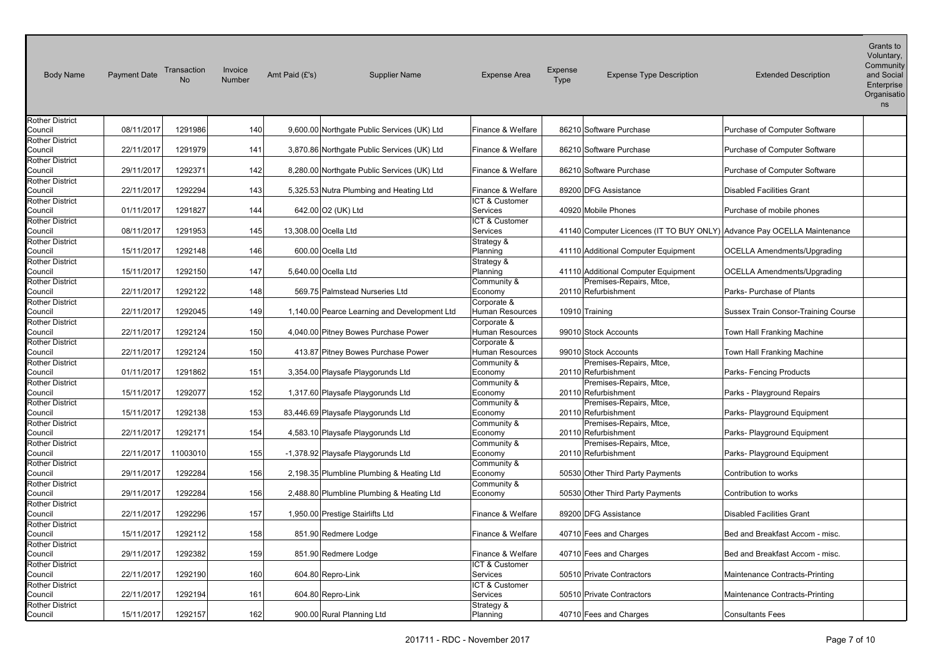| <b>Body Name</b>                  | <b>Payment Date</b> | Transaction<br><b>No</b> | Invoice<br>Number | Amt Paid (£'s) | <b>Supplier Name</b>                         | <b>Expense Area</b>    | Expense<br>Type | <b>Expense Type Description</b>                                         | <b>Extended Description</b>                | Voluntary,<br>Community<br>and Social<br>Enterprise<br>Organisatio<br>ns |
|-----------------------------------|---------------------|--------------------------|-------------------|----------------|----------------------------------------------|------------------------|-----------------|-------------------------------------------------------------------------|--------------------------------------------|--------------------------------------------------------------------------|
| <b>Rother District</b>            |                     |                          |                   |                |                                              |                        |                 |                                                                         |                                            |                                                                          |
| Council                           | 08/11/2017          | 1291986                  | 140               |                | 9,600.00 Northgate Public Services (UK) Ltd  | Finance & Welfare      |                 | 86210 Software Purchase                                                 | Purchase of Computer Software              |                                                                          |
| <b>Rother District</b>            |                     |                          |                   |                |                                              |                        |                 |                                                                         |                                            |                                                                          |
| Council                           | 22/11/2017          | 1291979                  | 141               |                | 3,870.86 Northgate Public Services (UK) Ltd  | Finance & Welfare      |                 | 86210 Software Purchase                                                 | Purchase of Computer Software              |                                                                          |
| <b>Rother District</b>            |                     |                          |                   |                |                                              |                        |                 |                                                                         |                                            |                                                                          |
| Council                           | 29/11/2017          | 1292371                  | 142               |                | 8,280.00 Northgate Public Services (UK) Ltd  | Finance & Welfare      |                 | 86210 Software Purchase                                                 | Purchase of Computer Software              |                                                                          |
| <b>Rother District</b>            |                     |                          |                   |                |                                              |                        |                 |                                                                         |                                            |                                                                          |
| Council                           | 22/11/2017          | 1292294                  | 143               |                | 5,325.53 Nutra Plumbing and Heating Ltd      | Finance & Welfare      |                 | 89200 DFG Assistance                                                    | <b>Disabled Facilities Grant</b>           |                                                                          |
| <b>Rother District</b>            |                     |                          |                   |                |                                              | ICT & Customer         |                 |                                                                         |                                            |                                                                          |
| Council                           | 01/11/2017          | 1291827                  | 144               |                | 642.00 O2 (UK) Ltd                           | <b>Services</b>        |                 | 40920 Mobile Phones                                                     | Purchase of mobile phones                  |                                                                          |
| <b>Rother District</b>            |                     |                          |                   |                |                                              | ICT & Customer         |                 |                                                                         |                                            |                                                                          |
| Council                           | 08/11/2017          | 1291953                  | 145               |                | 13,308.00 Ocella Ltd                         | Services               |                 | 41140 Computer Licences (IT TO BUY ONLY) Advance Pay OCELLA Maintenance |                                            |                                                                          |
| <b>Rother District</b>            |                     |                          |                   |                |                                              | Strategy &             |                 |                                                                         |                                            |                                                                          |
| Council                           | 15/11/2017          | 1292148                  | 146               |                | 600.00 Ocella Ltd                            | Planning               |                 | 41110 Additional Computer Equipment                                     | <b>OCELLA Amendments/Upgrading</b>         |                                                                          |
| <b>Rother District</b>            |                     |                          |                   |                |                                              | Strategy &             |                 |                                                                         |                                            |                                                                          |
| Council                           | 15/11/2017          | 1292150                  | 147               |                | 5,640.00 Ocella Ltd                          | Planning               |                 | 41110 Additional Computer Equipment                                     | <b>OCELLA Amendments/Upgrading</b>         |                                                                          |
| <b>Rother District</b>            |                     |                          |                   |                |                                              | Community &            |                 | Premises-Repairs, Mtce,                                                 |                                            |                                                                          |
| Council                           | 22/11/2017          | 1292122                  | 148               |                | 569.75 Palmstead Nurseries Ltd               | Economy                |                 | 20110 Refurbishment                                                     | Parks- Purchase of Plants                  |                                                                          |
| <b>Rother District</b>            |                     |                          |                   |                |                                              | Corporate &            |                 |                                                                         |                                            |                                                                          |
| Council                           | 22/11/2017          | 1292045                  | 149               |                | 1,140.00 Pearce Learning and Development Ltd | Human Resources        |                 | 10910 Training                                                          | <b>Sussex Train Consor-Training Course</b> |                                                                          |
| <b>Rother District</b>            |                     |                          |                   |                |                                              | Corporate &            |                 |                                                                         |                                            |                                                                          |
| Council                           | 22/11/2017          | 1292124                  | 150               |                | 4,040.00 Pitney Bowes Purchase Power         | Human Resources        |                 | 99010 Stock Accounts                                                    | Town Hall Franking Machine                 |                                                                          |
| <b>Rother District</b>            |                     |                          |                   |                |                                              | Corporate &            |                 |                                                                         |                                            |                                                                          |
| Council                           | 22/11/2017          | 1292124                  | 150               |                | 413.87 Pitney Bowes Purchase Power           | Human Resources        |                 | 99010 Stock Accounts                                                    | Town Hall Franking Machine                 |                                                                          |
| <b>Rother District</b>            |                     |                          |                   |                |                                              | Community &            |                 | Premises-Repairs, Mtce,                                                 |                                            |                                                                          |
| Council                           | 01/11/2017          | 1291862                  | 151               |                | 3,354.00 Playsafe Playgorunds Ltd            | Economy                |                 | 20110 Refurbishment                                                     | Parks- Fencing Products                    |                                                                          |
| <b>Rother District</b>            |                     |                          |                   |                |                                              | Community &            |                 | Premises-Repairs, Mtce,                                                 |                                            |                                                                          |
| Council                           | 15/11/2017          | 1292077                  | 152               |                | 1,317.60 Playsafe Playgorunds Ltd            | Economy                |                 | 20110 Refurbishment                                                     | Parks - Playground Repairs                 |                                                                          |
| <b>Rother District</b>            |                     |                          |                   |                |                                              | Community &            |                 | Premises-Repairs, Mtce,                                                 |                                            |                                                                          |
| Council                           | 15/11/2017          | 1292138                  | 153               |                | 83,446.69 Playsafe Playgorunds Ltd           | Economy                |                 | 20110 Refurbishment                                                     | Parks- Playground Equipment                |                                                                          |
| <b>Rother District</b>            |                     |                          |                   |                |                                              | Community &            |                 | Premises-Repairs, Mtce,                                                 |                                            |                                                                          |
| Council                           | 22/11/2017          | 1292171                  | 154               |                | 4,583.10 Playsafe Playgorunds Ltd            | Economy                |                 | 20110 Refurbishment                                                     | Parks- Playground Equipment                |                                                                          |
| <b>Rother District</b>            |                     |                          |                   |                |                                              |                        |                 |                                                                         |                                            |                                                                          |
| Council                           | 22/11/2017          | 11003010                 | 155               |                | -1,378.92 Playsafe Playgorunds Ltd           | Community &<br>Economy |                 | Premises-Repairs, Mtce,<br>20110 Refurbishment                          | Parks- Playground Equipment                |                                                                          |
| <b>Rother District</b>            |                     |                          |                   |                |                                              |                        |                 |                                                                         |                                            |                                                                          |
| Council                           | 29/11/2017          | 1292284                  | 156               |                | 2,198.35 Plumbline Plumbing & Heating Ltd    | Community &            |                 |                                                                         | Contribution to works                      |                                                                          |
|                                   |                     |                          |                   |                |                                              | Economy                |                 | 50530 Other Third Party Payments                                        |                                            |                                                                          |
| <b>Rother District</b><br>Council | 29/11/2017          | 1292284                  | 156               |                | 2,488.80 Plumbline Plumbing & Heating Ltd    | Community &<br>Economy |                 | 50530 Other Third Party Payments                                        | Contribution to works                      |                                                                          |
| <b>Rother District</b>            |                     |                          |                   |                |                                              |                        |                 |                                                                         |                                            |                                                                          |
| Council                           | 22/11/2017          | 1292296                  | 157               |                | 1,950.00 Prestige Stairlifts Ltd             | Finance & Welfare      |                 | 89200 DFG Assistance                                                    | <b>Disabled Facilities Grant</b>           |                                                                          |
|                                   |                     |                          |                   |                |                                              |                        |                 |                                                                         |                                            |                                                                          |
| <b>Rother District</b>            |                     |                          |                   |                |                                              |                        |                 |                                                                         |                                            |                                                                          |
| Council                           | 15/11/2017          | 1292112                  | 158               |                | 851.90 Redmere Lodge                         | Finance & Welfare      |                 | 40710 Fees and Charges                                                  | Bed and Breakfast Accom - misc.            |                                                                          |
| <b>Rother District</b>            |                     |                          |                   |                |                                              |                        |                 |                                                                         |                                            |                                                                          |
| Council                           | 29/11/2017          | 1292382                  | 159               |                | 851.90 Redmere Lodge                         | Finance & Welfare      |                 | 40710 Fees and Charges                                                  | Bed and Breakfast Accom - misc.            |                                                                          |
| <b>Rother District</b>            |                     |                          |                   |                |                                              | ICT & Customer         |                 |                                                                         |                                            |                                                                          |
| Council                           | 22/11/2017          | 1292190                  | 160               |                | 604.80 Repro-Link                            | <b>Services</b>        |                 | 50510 Private Contractors                                               | Maintenance Contracts-Printing             |                                                                          |
| <b>Rother District</b>            |                     |                          |                   |                |                                              | ICT & Customer         |                 |                                                                         |                                            |                                                                          |
| Council                           | 22/11/2017          | 1292194                  | 161               |                | 604.80 Repro-Link                            | Services               |                 | 50510 Private Contractors                                               | Maintenance Contracts-Printing             |                                                                          |
| <b>Rother District</b>            |                     |                          |                   |                |                                              | Strategy &             |                 |                                                                         |                                            |                                                                          |
| Council                           | 15/11/2017          | 1292157                  | 162               |                | 900.00 Rural Planning Ltd                    | Planning               |                 | 40710 Fees and Charges                                                  | <b>Consultants Fees</b>                    |                                                                          |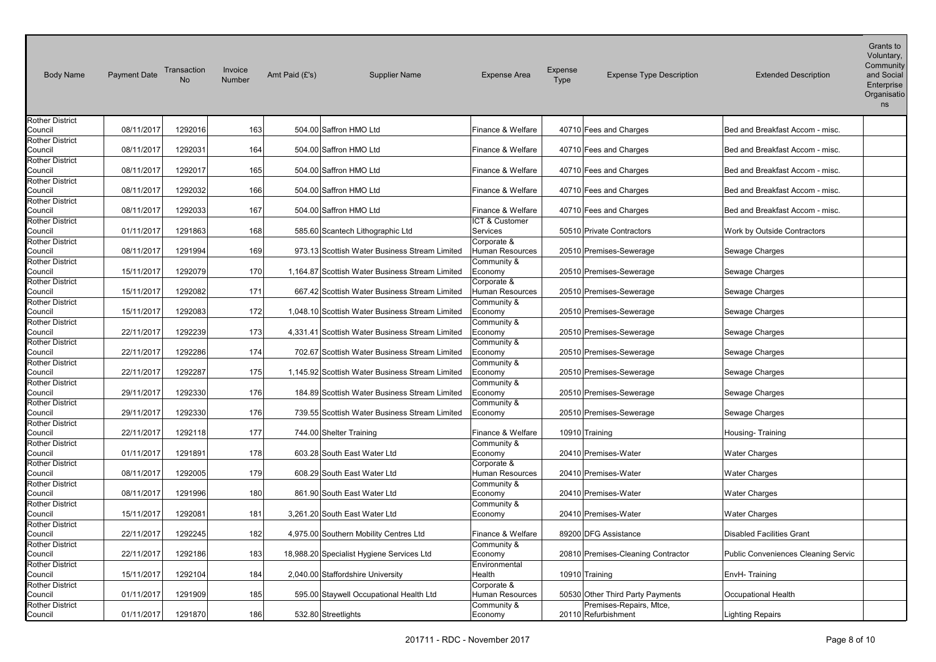| <b>Body Name</b>                  | <b>Payment Date</b> | Transaction<br><b>No</b> | Invoice<br>Number | Amt Paid (£'s) | <b>Supplier Name</b>                            | <b>Expense Area</b>    | Expense<br><b>Type</b> | <b>Expense Type Description</b>                             | <b>Extended Description</b>         | Voluntary,<br>Community<br>and Social<br>Enterprise<br>Organisatio<br>ns |
|-----------------------------------|---------------------|--------------------------|-------------------|----------------|-------------------------------------------------|------------------------|------------------------|-------------------------------------------------------------|-------------------------------------|--------------------------------------------------------------------------|
| <b>Rother District</b>            |                     |                          |                   |                |                                                 |                        |                        |                                                             |                                     |                                                                          |
| Council                           | 08/11/2017          | 1292016                  | 163               |                | 504.00 Saffron HMO Ltd                          | Finance & Welfare      |                        | 40710 Fees and Charges                                      | Bed and Breakfast Accom - misc.     |                                                                          |
| <b>Rother District</b>            |                     |                          |                   |                |                                                 |                        |                        |                                                             |                                     |                                                                          |
| Council                           | 08/11/2017          | 1292031                  | 164               |                | 504.00 Saffron HMO Ltd                          | Finance & Welfare      |                        | 40710 Fees and Charges                                      | Bed and Breakfast Accom - misc.     |                                                                          |
| <b>Rother District</b>            |                     |                          |                   |                |                                                 |                        |                        |                                                             |                                     |                                                                          |
| Council                           | 08/11/2017          | 1292017                  | 165               |                | 504.00 Saffron HMO Ltd                          | Finance & Welfare      |                        | 40710 Fees and Charges                                      | Bed and Breakfast Accom - misc.     |                                                                          |
| <b>Rother District</b>            |                     |                          |                   |                |                                                 |                        |                        |                                                             |                                     |                                                                          |
| Council                           | 08/11/2017          | 1292032                  | 166               |                | 504.00 Saffron HMO Ltd                          | Finance & Welfare      |                        | 40710 Fees and Charges                                      | Bed and Breakfast Accom - misc.     |                                                                          |
| <b>Rother District</b>            |                     |                          |                   |                |                                                 |                        |                        |                                                             |                                     |                                                                          |
| Council                           | 08/11/2017          | 1292033                  | 167               |                | 504.00 Saffron HMO Ltd                          | Finance & Welfare      |                        | 40710 Fees and Charges                                      | Bed and Breakfast Accom - misc.     |                                                                          |
| Rother District                   |                     |                          |                   |                |                                                 | ICT & Customer         |                        |                                                             |                                     |                                                                          |
| Council                           | 01/11/2017          | 1291863                  | 168               |                | 585.60 Scantech Lithographic Ltd                | Services               |                        | 50510 Private Contractors                                   | Work by Outside Contractors         |                                                                          |
| <b>Rother District</b>            |                     |                          |                   |                |                                                 | Corporate &            |                        |                                                             |                                     |                                                                          |
| Council                           | 08/11/2017          | 1291994                  | 169               |                | 973.13 Scottish Water Business Stream Limited   | <b>Human Resources</b> |                        | 20510 Premises-Sewerage                                     | Sewage Charges                      |                                                                          |
| <b>Rother District</b>            | 15/11/2017          |                          | 170               |                |                                                 | Community &            |                        |                                                             |                                     |                                                                          |
| Council                           |                     | 1292079                  |                   |                | 1,164.87 Scottish Water Business Stream Limited | Economy                |                        | 20510 Premises-Sewerage                                     | Sewage Charges                      |                                                                          |
| <b>Rother District</b>            | 15/11/2017          |                          |                   |                | 667.42 Scottish Water Business Stream Limited   | Corporate &            |                        |                                                             |                                     |                                                                          |
| Council                           |                     | 1292082                  | 171               |                |                                                 | Human Resources        |                        | 20510 Premises-Sewerage                                     | Sewage Charges                      |                                                                          |
| <b>Rother District</b><br>Council | 15/11/2017          | 1292083                  | 172               |                | 1,048.10 Scottish Water Business Stream Limited | Community &<br>Economy |                        | 20510 Premises-Sewerage                                     | Sewage Charges                      |                                                                          |
| <b>Rother District</b>            |                     |                          |                   |                |                                                 | Community &            |                        |                                                             |                                     |                                                                          |
| Council                           | 22/11/2017          | 1292239                  | 173               |                | 4,331.41 Scottish Water Business Stream Limited | Economy                |                        | 20510 Premises-Sewerage                                     | Sewage Charges                      |                                                                          |
| <b>Rother District</b>            |                     |                          |                   |                |                                                 | Community &            |                        |                                                             |                                     |                                                                          |
| Council                           | 22/11/2017          | 1292286                  | 174               |                | 702.67 Scottish Water Business Stream Limited   | Economy                |                        | 20510 Premises-Sewerage                                     | Sewage Charges                      |                                                                          |
| <b>Rother District</b>            |                     |                          |                   |                |                                                 | Community &            |                        |                                                             |                                     |                                                                          |
| Council                           | 22/11/2017          | 1292287                  | 175               |                | 1,145.92 Scottish Water Business Stream Limited | Economy                |                        | 20510 Premises-Sewerage                                     | Sewage Charges                      |                                                                          |
| <b>Rother District</b>            |                     |                          |                   |                |                                                 | Community &            |                        |                                                             |                                     |                                                                          |
| Council                           | 29/11/2017          | 1292330                  | 176               |                | 184.89 Scottish Water Business Stream Limited   | Economy                |                        | 20510 Premises-Sewerage                                     | Sewage Charges                      |                                                                          |
| <b>Rother District</b>            |                     |                          |                   |                |                                                 | Community &            |                        |                                                             |                                     |                                                                          |
| Council                           | 29/11/2017          | 1292330                  | 176               |                | 739.55 Scottish Water Business Stream Limited   | Economy                |                        | 20510 Premises-Sewerage                                     | Sewage Charges                      |                                                                          |
| <b>Rother District</b>            |                     |                          |                   |                |                                                 |                        |                        |                                                             |                                     |                                                                          |
| Council                           | 22/11/2017          | 1292118                  | 177               |                | 744.00 Shelter Training                         | Finance & Welfare      |                        | 10910 Training                                              | Housing-Training                    |                                                                          |
| <b>Rother District</b>            |                     |                          |                   |                |                                                 | Community &            |                        |                                                             |                                     |                                                                          |
| Council                           | 01/11/2017          | 1291891                  | 178               |                | 603.28 South East Water Ltd                     | Economy                |                        | 20410 Premises-Water                                        | <b>Water Charges</b>                |                                                                          |
| <b>Rother District</b>            |                     |                          |                   |                |                                                 | Corporate &            |                        |                                                             |                                     |                                                                          |
| Council                           | 08/11/2017          | 1292005                  | 179               |                | 608.29 South East Water Ltd                     | Human Resources        |                        | 20410 Premises-Water                                        | <b>Water Charges</b>                |                                                                          |
| <b>Rother District</b>            |                     |                          |                   |                |                                                 | Community &            |                        |                                                             |                                     |                                                                          |
| Council                           | 08/11/2017          | 1291996                  | 180               |                | 861.90 South East Water Ltd                     | Economy                |                        | 20410 Premises-Water                                        | <b>Water Charges</b>                |                                                                          |
| <b>Rother District</b>            |                     |                          |                   |                |                                                 | Community &            |                        |                                                             |                                     |                                                                          |
| Council                           | 15/11/2017          | 1292081                  | 181               |                | 3,261.20 South East Water Ltd                   | Economy                |                        | 20410 Premises-Water                                        | <b>Water Charges</b>                |                                                                          |
| Rother District                   |                     |                          |                   |                |                                                 |                        |                        |                                                             |                                     |                                                                          |
| Council                           | 22/11/2017          | 1292245                  | 182               |                | 4,975.00 Southern Mobility Centres Ltd          | Finance & Welfare      |                        | 89200 DFG Assistance                                        | <b>Disabled Facilities Grant</b>    |                                                                          |
| <b>Rother District</b>            |                     |                          |                   |                |                                                 | Community &            |                        |                                                             |                                     |                                                                          |
| Council                           | 22/11/2017          | 1292186                  | 183               |                | 18,988.20 Specialist Hygiene Services Ltd       | Economy                |                        | 20810 Premises-Cleaning Contractor                          | Public Conveniences Cleaning Servic |                                                                          |
| <b>Rother District</b>            |                     |                          |                   |                |                                                 | Environmental          |                        |                                                             |                                     |                                                                          |
| Council                           | 15/11/2017          | 1292104                  | 184               |                | 2,040.00 Staffordshire University               | Health                 |                        | 10910 Training                                              | EnvH-Training                       |                                                                          |
| <b>Rother District</b>            |                     |                          |                   |                |                                                 | Corporate &            |                        |                                                             |                                     |                                                                          |
| Council<br><b>Rother District</b> | 01/11/2017          | 1291909                  | 185               |                | 595.00 Staywell Occupational Health Ltd         | <b>Human Resources</b> |                        | 50530 Other Third Party Payments<br>Premises-Repairs, Mtce, | Occupational Health                 |                                                                          |
| Council                           | 01/11/2017          | 1291870                  | 186               |                | 532.80 Streetlights                             | Community &<br>Economy |                        | 20110 Refurbishment                                         | <b>Lighting Repairs</b>             |                                                                          |
|                                   |                     |                          |                   |                |                                                 |                        |                        |                                                             |                                     |                                                                          |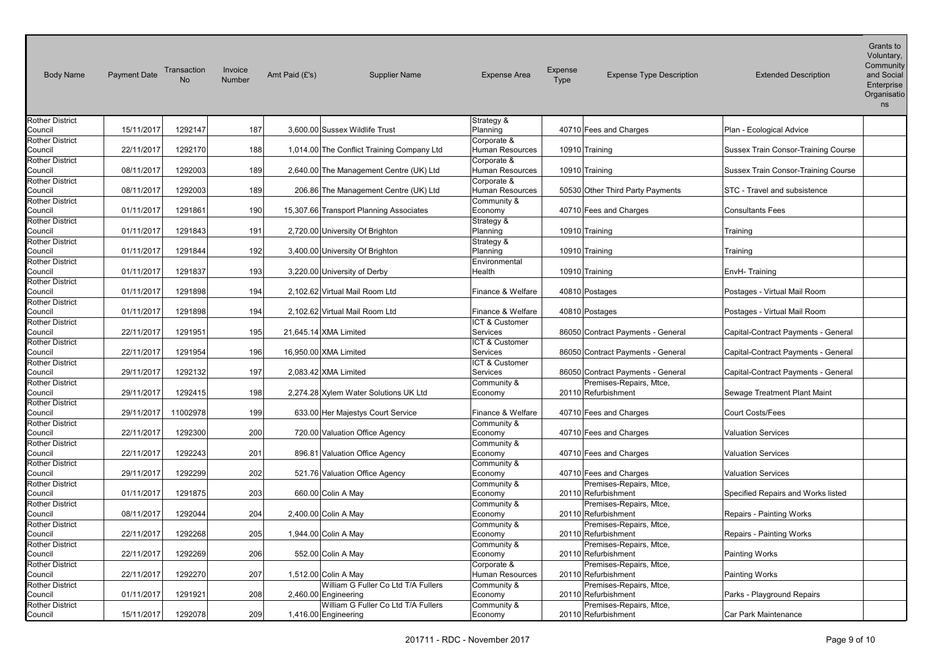| <b>Body Name</b>                  | <b>Payment Date</b> | Transaction<br>No | Invoice<br>Number | Amt Paid (£'s) | <b>Supplier Name</b>                       | <b>Expense Area</b>            | <b>Expense</b><br><b>Type</b> | <b>Expense Type Description</b>                | <b>Extended Description</b>         | v Ululitury.<br>Community<br>and Social<br>Enterprise<br>Organisatio<br>ns |
|-----------------------------------|---------------------|-------------------|-------------------|----------------|--------------------------------------------|--------------------------------|-------------------------------|------------------------------------------------|-------------------------------------|----------------------------------------------------------------------------|
| <b>Rother District</b><br>Council | 15/11/2017          | 1292147           | 187               |                | 3.600.00 Sussex Wildlife Trust             | Strategy &                     |                               | 40710 Fees and Charges                         |                                     |                                                                            |
|                                   |                     |                   |                   |                |                                            | Planning<br>Corporate &        |                               |                                                | Plan - Ecological Advice            |                                                                            |
| <b>Rother District</b><br>Council | 22/11/2017          | 1292170           | 188               |                | 1,014.00 The Conflict Training Company Ltd | <b>Human Resources</b>         |                               | 10910 Training                                 | Sussex Train Consor-Training Course |                                                                            |
| <b>Rother District</b>            |                     |                   |                   |                |                                            | Corporate &                    |                               |                                                |                                     |                                                                            |
| Council                           | 08/11/2017          | 1292003           | 189               |                | 2,640.00 The Management Centre (UK) Ltd    | Human Resources                |                               | 10910 Training                                 | Sussex Train Consor-Training Course |                                                                            |
| Rother District                   |                     |                   |                   |                |                                            | Corporate &                    |                               |                                                |                                     |                                                                            |
| Council                           | 08/11/2017          | 1292003           | 189               |                | 206.86 The Management Centre (UK) Ltd      | Human Resources                |                               | 50530 Other Third Party Payments               | STC - Travel and subsistence        |                                                                            |
| <b>Rother District</b>            |                     |                   |                   |                |                                            | Community &                    |                               |                                                |                                     |                                                                            |
| Council                           | 01/11/2017          | 1291861           | 190               |                | 15,307.66 Transport Planning Associates    | Economy                        |                               | 40710 Fees and Charges                         | <b>Consultants Fees</b>             |                                                                            |
| <b>Rother District</b>            |                     |                   |                   |                |                                            | Strategy &                     |                               |                                                |                                     |                                                                            |
| Council                           | 01/11/2017          | 1291843           | 191               |                | 2,720.00 University Of Brighton            | Planning                       |                               | 10910 Training                                 | Training                            |                                                                            |
| <b>Rother District</b>            |                     |                   |                   |                |                                            | Strategy &                     |                               |                                                |                                     |                                                                            |
| Council                           | 01/11/2017          | 1291844           | 192               |                | 3,400.00 University Of Brighton            | Planning                       |                               | 10910 Training                                 | Training                            |                                                                            |
| <b>Rother District</b>            |                     |                   |                   |                |                                            | Environmental                  |                               |                                                |                                     |                                                                            |
| Council                           | 01/11/2017          | 1291837           | 193               |                | 3,220.00 University of Derby               | Health                         |                               | 10910 Training                                 | EnvH-Training                       |                                                                            |
| <b>Rother District</b>            |                     |                   |                   |                |                                            |                                |                               |                                                |                                     |                                                                            |
| Council                           | 01/11/2017          | 1291898           | 194               |                | 2,102.62 Virtual Mail Room Ltd             | Finance & Welfare              |                               | 40810 Postages                                 | Postages - Virtual Mail Room        |                                                                            |
| <b>Rother District</b><br>Council | 01/11/2017          | 1291898           | 194               |                | 2.102.62 Virtual Mail Room Ltd             | Finance & Welfare              |                               | 40810 Postages                                 | Postages - Virtual Mail Room        |                                                                            |
| <b>Rother District</b>            |                     |                   |                   |                |                                            | ICT & Customer                 |                               |                                                |                                     |                                                                            |
| Council                           | 22/11/2017          | 1291951           | 195               |                | 21,645.14 XMA Limited                      | Services                       |                               | 86050 Contract Payments - General              | Capital-Contract Payments - General |                                                                            |
| <b>Rother District</b>            |                     |                   |                   |                |                                            | ICT & Customer                 |                               |                                                |                                     |                                                                            |
| Council                           | 22/11/2017          | 1291954           | 196               |                | 16,950.00 XMA Limited                      | <b>Services</b>                |                               | 86050 Contract Payments - General              | Capital-Contract Payments - General |                                                                            |
| <b>Rother District</b>            |                     |                   |                   |                |                                            | ICT & Customer                 |                               |                                                |                                     |                                                                            |
| Council                           | 29/11/2017          | 1292132           | 197               |                | 2,083.42 XMA Limited                       | Services                       |                               | 86050 Contract Payments - General              | Capital-Contract Payments - General |                                                                            |
| <b>Rother District</b>            |                     |                   |                   |                |                                            | Community &                    |                               | Premises-Repairs, Mtce,                        |                                     |                                                                            |
| Council                           | 29/11/2017          | 1292415           | 198               |                | 2,274.28 Xylem Water Solutions UK Ltd      | Economy                        |                               | 20110 Refurbishment                            | Sewage Treatment Plant Maint        |                                                                            |
| <b>Rother District</b>            |                     |                   |                   |                |                                            |                                |                               |                                                |                                     |                                                                            |
| Council                           | 29/11/2017          | 11002978          | 199               |                | 633.00 Her Majestys Court Service          | Finance & Welfare              |                               | 40710 Fees and Charges                         | <b>Court Costs/Fees</b>             |                                                                            |
| <b>Rother District</b>            |                     |                   |                   |                |                                            | Community &                    |                               |                                                |                                     |                                                                            |
| Council                           | 22/11/2017          | 1292300           | 200               |                | 720.00 Valuation Office Agency             | Economy                        |                               | 40710 Fees and Charges                         | <b>Valuation Services</b>           |                                                                            |
| <b>Rother District</b>            |                     |                   |                   |                |                                            | Community &                    |                               |                                                |                                     |                                                                            |
| Council                           | 22/11/2017          | 1292243           | 201               |                | 896.81 Valuation Office Agency             | Economy                        |                               | 40710 Fees and Charges                         | <b>Valuation Services</b>           |                                                                            |
| <b>Rother District</b>            |                     |                   |                   |                |                                            | Community &                    |                               |                                                |                                     |                                                                            |
| Council                           | 29/11/2017          | 1292299           | 202               |                | 521.76 Valuation Office Agency             | Economy                        |                               | 40710 Fees and Charges                         | <b>Valuation Services</b>           |                                                                            |
| <b>Rother District</b>            |                     |                   |                   |                |                                            | Community &                    |                               | Premises-Repairs, Mtce,                        |                                     |                                                                            |
| Council                           | 01/11/2017          | 1291875           | 203               |                | 660.00 Colin A May                         | Economy                        |                               | 20110 Refurbishment                            | Specified Repairs and Works listed  |                                                                            |
| <b>Rother District</b>            |                     |                   |                   |                |                                            | Community &                    |                               | Premises-Repairs, Mtce,                        |                                     |                                                                            |
| Council                           | 08/11/2017          | 1292044           | 204               |                | 2,400.00 Colin A May                       | Economy                        |                               | 20110 Refurbishment                            | Repairs - Painting Works            |                                                                            |
| <b>Rother District</b>            |                     |                   |                   |                |                                            | Community &                    |                               | Premises-Repairs, Mtce,                        |                                     |                                                                            |
| Council                           | 22/11/2017          | 1292268           | 205               |                | 1,944.00 Colin A May                       | Economy                        |                               | 20110 Refurbishment                            | Repairs - Painting Works            |                                                                            |
| <b>Rother District</b>            | 22/11/2017          |                   | 206               |                |                                            | Community &                    |                               | Premises-Repairs, Mtce,                        |                                     |                                                                            |
| Council                           |                     | 1292269           |                   |                | 552.00 Colin A May                         | Economy                        |                               | 20110 Refurbishment                            | <b>Painting Works</b>               |                                                                            |
| <b>Rother District</b><br>Council | 22/11/2017          | 1292270           | 207               |                | 1,512.00 Colin A May                       | Corporate &                    |                               | Premises-Repairs, Mtce,<br>20110 Refurbishment |                                     |                                                                            |
| <b>Rother District</b>            |                     |                   |                   |                | William G Fuller Co Ltd T/A Fullers        | Human Resources<br>Community & |                               | Premises-Repairs, Mtce,                        | Painting Works                      |                                                                            |
| Council                           | 01/11/2017          | 1291921           | 208               |                | 2,460.00 Engineering                       | Economy                        |                               | 20110 Refurbishment                            | Parks - Playground Repairs          |                                                                            |
| <b>Rother District</b>            |                     |                   |                   |                | William G Fuller Co Ltd T/A Fullers        | Community &                    |                               | Premises-Repairs, Mtce,                        |                                     |                                                                            |
| Council                           | 15/11/2017          | 1292078           | 209               |                | 1,416.00 Engineering                       | Economy                        |                               | 20110 Refurbishment                            | Car Park Maintenance                |                                                                            |
|                                   |                     |                   |                   |                |                                            |                                |                               |                                                |                                     |                                                                            |

Voluntary,